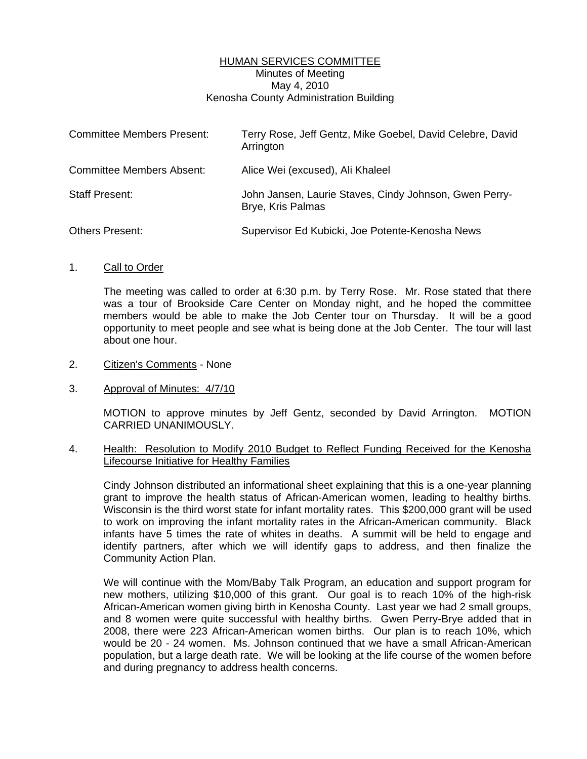# HUMAN SERVICES COMMITTEE Minutes of Meeting May 4, 2010 Kenosha County Administration Building

| <b>Committee Members Present:</b> | Terry Rose, Jeff Gentz, Mike Goebel, David Celebre, David<br>Arrington      |
|-----------------------------------|-----------------------------------------------------------------------------|
| <b>Committee Members Absent:</b>  | Alice Wei (excused), Ali Khaleel                                            |
| <b>Staff Present:</b>             | John Jansen, Laurie Staves, Cindy Johnson, Gwen Perry-<br>Brye, Kris Palmas |
| <b>Others Present:</b>            | Supervisor Ed Kubicki, Joe Potente-Kenosha News                             |

### 1. Call to Order

 The meeting was called to order at 6:30 p.m. by Terry Rose. Mr. Rose stated that there was a tour of Brookside Care Center on Monday night, and he hoped the committee members would be able to make the Job Center tour on Thursday. It will be a good opportunity to meet people and see what is being done at the Job Center. The tour will last about one hour.

#### 2. Citizen's Comments - None

### 3. Approval of Minutes: 4/7/10

 MOTION to approve minutes by Jeff Gentz, seconded by David Arrington. MOTION CARRIED UNANIMOUSLY.

# 4. Health: Resolution to Modify 2010 Budget to Reflect Funding Received for the Kenosha Lifecourse Initiative for Healthy Families

 Cindy Johnson distributed an informational sheet explaining that this is a one-year planning grant to improve the health status of African-American women, leading to healthy births. Wisconsin is the third worst state for infant mortality rates. This \$200,000 grant will be used to work on improving the infant mortality rates in the African-American community. Black infants have 5 times the rate of whites in deaths. A summit will be held to engage and identify partners, after which we will identify gaps to address, and then finalize the Community Action Plan.

 We will continue with the Mom/Baby Talk Program, an education and support program for new mothers, utilizing \$10,000 of this grant. Our goal is to reach 10% of the high-risk African-American women giving birth in Kenosha County. Last year we had 2 small groups, and 8 women were quite successful with healthy births. Gwen Perry-Brye added that in 2008, there were 223 African-American women births. Our plan is to reach 10%, which would be 20 - 24 women. Ms. Johnson continued that we have a small African-American population, but a large death rate. We will be looking at the life course of the women before and during pregnancy to address health concerns.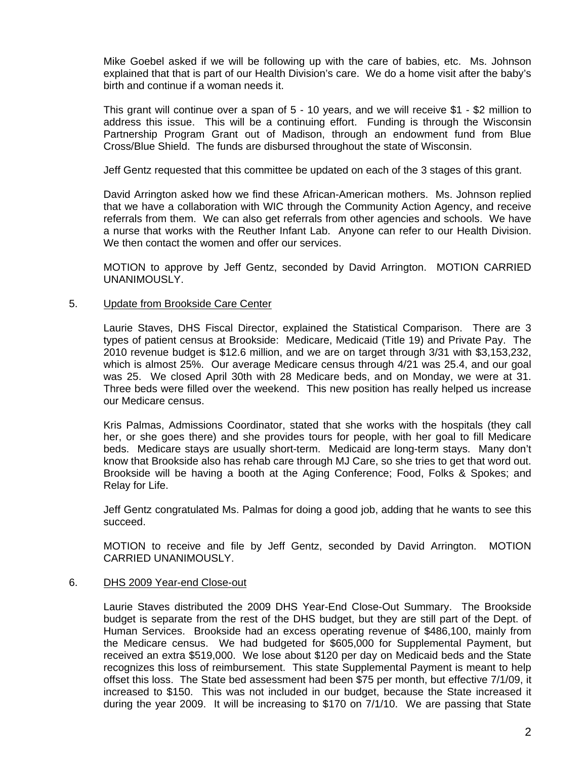Mike Goebel asked if we will be following up with the care of babies, etc. Ms. Johnson explained that that is part of our Health Division's care. We do a home visit after the baby's birth and continue if a woman needs it.

 This grant will continue over a span of 5 - 10 years, and we will receive \$1 - \$2 million to address this issue. This will be a continuing effort. Funding is through the Wisconsin Partnership Program Grant out of Madison, through an endowment fund from Blue Cross/Blue Shield. The funds are disbursed throughout the state of Wisconsin.

Jeff Gentz requested that this committee be updated on each of the 3 stages of this grant.

 David Arrington asked how we find these African-American mothers. Ms. Johnson replied that we have a collaboration with WIC through the Community Action Agency, and receive referrals from them. We can also get referrals from other agencies and schools. We have a nurse that works with the Reuther Infant Lab. Anyone can refer to our Health Division. We then contact the women and offer our services.

 MOTION to approve by Jeff Gentz, seconded by David Arrington. MOTION CARRIED UNANIMOUSLY.

# 5. Update from Brookside Care Center

 Laurie Staves, DHS Fiscal Director, explained the Statistical Comparison. There are 3 types of patient census at Brookside: Medicare, Medicaid (Title 19) and Private Pay. The 2010 revenue budget is \$12.6 million, and we are on target through 3/31 with \$3,153,232, which is almost 25%. Our average Medicare census through 4/21 was 25.4, and our goal was 25. We closed April 30th with 28 Medicare beds, and on Monday, we were at 31. Three beds were filled over the weekend. This new position has really helped us increase our Medicare census.

 Kris Palmas, Admissions Coordinator, stated that she works with the hospitals (they call her, or she goes there) and she provides tours for people, with her goal to fill Medicare beds. Medicare stays are usually short-term. Medicaid are long-term stays. Many don't know that Brookside also has rehab care through MJ Care, so she tries to get that word out. Brookside will be having a booth at the Aging Conference; Food, Folks & Spokes; and Relay for Life.

 Jeff Gentz congratulated Ms. Palmas for doing a good job, adding that he wants to see this succeed.

 MOTION to receive and file by Jeff Gentz, seconded by David Arrington. MOTION CARRIED UNANIMOUSLY.

### 6. DHS 2009 Year-end Close-out

 Laurie Staves distributed the 2009 DHS Year-End Close-Out Summary. The Brookside budget is separate from the rest of the DHS budget, but they are still part of the Dept. of Human Services. Brookside had an excess operating revenue of \$486,100, mainly from the Medicare census. We had budgeted for \$605,000 for Supplemental Payment, but received an extra \$519,000. We lose about \$120 per day on Medicaid beds and the State recognizes this loss of reimbursement. This state Supplemental Payment is meant to help offset this loss. The State bed assessment had been \$75 per month, but effective 7/1/09, it increased to \$150. This was not included in our budget, because the State increased it during the year 2009. It will be increasing to \$170 on 7/1/10. We are passing that State